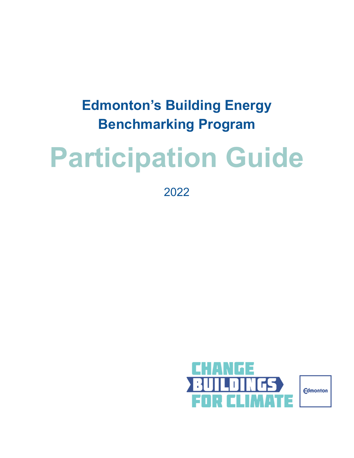### **Edmonton's Building Energy Benchmarking Program**

# **Participation Guide**

2022

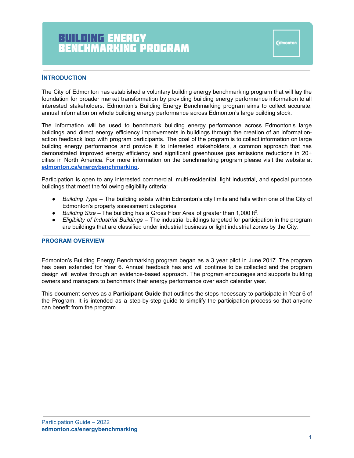Fdmonton

#### **INTRODUCTION**

The City of Edmonton has established a voluntary building energy benchmarking program that will lay the foundation for broader market transformation by providing building energy performance information to all interested stakeholders. Edmonton's Building Energy Benchmarking program aims to collect accurate, annual information on whole building energy performance across Edmonton's large building stock.

The information will be used to benchmark building energy performance across Edmonton's large buildings and direct energy efficiency improvements in buildings through the creation of an informationaction feedback loop with program participants. The goal of the program is to collect information on large building energy performance and provide it to interested stakeholders, a common approach that has demonstrated improved energy efficiency and significant greenhouse gas emissions reductions in 20+ cities in North America. For more information on the benchmarking program please visit the website at **[edmonton.ca/energybenchmarking](http://edmonton.ca/energybenchmarking)**.

Participation is open to any interested commercial, multi-residential, light industrial, and special purpose buildings that meet the following eligibility criteria:

- *Building Type* The building exists within Edmonton's city limits and falls within one of the City of Edmonton's property assessment categories
- $\bullet$  *Building Size* The building has a Gross Floor Area of greater than 1,000 ft<sup>2</sup>.
- *Eligibility of Industrial Buildings* The industrial buildings targeted for participation in the program are buildings that are classified under industrial business or light industrial zones by the City.

#### **PROGRAM OVERVIEW**

Edmonton's Building Energy Benchmarking program began as a 3 year pilot in June 2017. The program has been extended for Year 6. Annual feedback has and will continue to be collected and the program design will evolve through an evidence-based approach. The program encourages and supports building owners and managers to benchmark their energy performance over each calendar year.

This document serves as a **Participant Guide** that outlines the steps necessary to participate in Year 6 of the Program. It is intended as a step-by-step guide to simplify the participation process so that anyone can benefit from the program.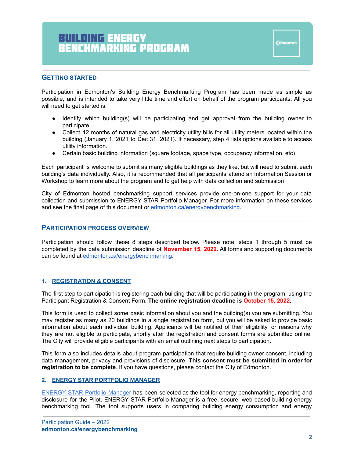#### **GETTING STARTED**

Participation in Edmonton's Building Energy Benchmarking Program has been made as simple as possible, and is intended to take very little time and effort on behalf of the program participants. All you will need to get started is:

- Identify which building(s) will be participating and get approval from the building owner to participate.
- Collect 12 months of natural gas and electricity utility bills for all utility meters located within the building (January 1, 2021 to Dec 31, 2021). If necessary, step 4 lists options available to access utility information.
- Certain basic building information (square footage, space type, occupancy information, etc)

Each participant is welcome to submit as many eligible buildings as they like, but will need to submit each building's data individually. Also, it is recommended that all participants attend an Information Session or Workshop to learn more about the program and to get help with data collection and submission

City of Edmonton hosted benchmarking support services provide one-on-one support for your data collection and submission to ENERGY STAR Portfolio Manager. For more information on these services and see the final page of this document or [edmonton.ca/energybenchmarking.](http://edmonton.ca/energybenchmarking)

#### **PARTICIPATION PROCESS OVERVIEW**

Participation should follow these 8 steps described below. Please note, steps 1 through 5 must be completed by the data submission deadline of **November 15, 2022.** All forms and supporting documents can be found at [edmonton.ca/energybenchmarking.](http://edmonton.ca/energybenchmarking)

#### **1. REGISTRATION & CONSENT**

The first step to participation is registering each building that will be participating in the program, using the Participant Registration & Consent Form. **The online registration deadline is October 15, 2022.**

This form is used to collect some basic information about you and the building(s) you are submitting. You may register as many as 20 buildings in a single registration form, but you will be asked to provide basic information about each individual building. Applicants will be notified of their eligibility, or reasons why they are not eligible to participate, shortly after the registration and consent forms are submitted online. The City will provide eligible participants with an email outlining next steps to participation.

This form also includes details about program participation that require building owner consent, including data management, privacy and provisions of disclosure. **This consent must be submitted in order for registration to be complete**. If you have questions, please contact the City of Edmonton.

#### **2. ENERGY STAR PORTFOLIO MANAGER**

[ENERGY](https://portfoliomanager.energystar.gov/pm/login.html?lang=en) STAR Portfolio Manager has been selected as the tool for energy benchmarking, reporting and disclosure for the Pilot. ENERGY STAR Portfolio Manager is a free, secure, web-based building energy benchmarking tool. The tool supports users in comparing building energy consumption and energy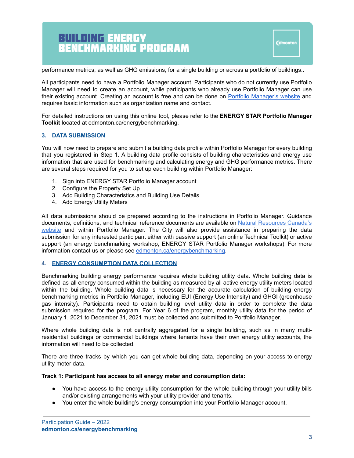performance metrics, as well as GHG emissions, for a single building or across a portfolio of buildings..

All participants need to have a Portfolio Manager account. Participants who do not currently use Portfolio Manager will need to create an account, while participants who already use Portfolio Manager can use their existing account. Creating an account is free and can be done on Portfolio [Manager's](https://www.nrcan.gc.ca/energy/efficiency/buildings/energy-benchmarking/3693) website and requires basic information such as organization name and contact.

For detailed instructions on using this online tool, please refer to the **ENERGY STAR Portfolio Manager Toolkit** located at edmonton.ca/energybenchmarking.

#### **3. DATA SUBMISSION**

You will now need to prepare and submit a building data profile within Portfolio Manager for every building that you registered in Step 1. A building data profile consists of building characteristics and energy use information that are used for benchmarking and calculating energy and GHG performance metrics. There are several steps required for you to set up each building within Portfolio Manager:

- 1. Sign into ENERGY STAR Portfolio Manager account
- 2. Configure the Property Set Up
- 3. Add Building Characteristics and Building Use Details
- 4. Add Energy Utility Meters

All data submissions should be prepared according to the instructions in Portfolio Manager. Guidance documents, definitions, and technical reference documents are available on Natural [Resources](https://www.nrcan.gc.ca/energy/efficiency/buildings/energy-benchmarking/update/15938) Canada's [website](https://www.nrcan.gc.ca/energy/efficiency/buildings/energy-benchmarking/update/15938) and within Portfolio Manager. The City will also provide assistance in preparing the data submission for any interested participant either with passive support (an online Technical Toolkit) or active support (an energy benchmarking workshop, ENERGY STAR Portfolio Manager workshops). For more information contact us or please see [edmonton.ca/energybenchmarking](http://edmonton.ca/energybenchmarking).

#### **4. ENERGY CONSUMPTION DATA COLLECTION**

Benchmarking building energy performance requires whole building utility data. Whole building data is defined as all energy consumed within the building as measured by all active energy utility meters located within the building. Whole building data is necessary for the accurate calculation of building energy benchmarking metrics in Portfolio Manager, including EUI (Energy Use Intensity) and GHGI (greenhouse gas intensity). Participants need to obtain building level utility data in order to complete the data submission required for the program. For Year 6 of the program, monthly utility data for the period of January 1, 2021 to December 31, 2021 must be collected and submitted to Portfolio Manager.

Where whole building data is not centrally aggregated for a single building, such as in many multiresidential buildings or commercial buildings where tenants have their own energy utility accounts, the information will need to be collected.

There are three tracks by which you can get whole building data, depending on your access to energy utility meter data.

#### **Track 1: Participant has access to all energy meter and consumption data:**

- You have access to the energy utility consumption for the whole building through your utility bills and/or existing arrangements with your utility provider and tenants.
- You enter the whole building's energy consumption into your Portfolio Manager account.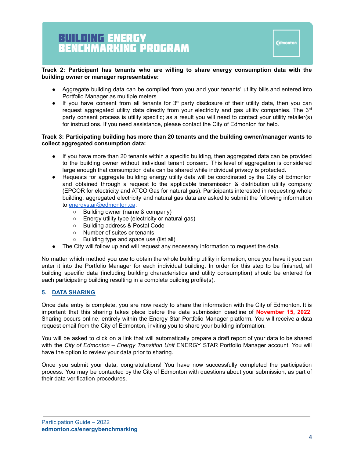#### **Track 2: Participant has tenants who are willing to share energy consumption data with the building owner or manager representative:**

- Aggregate building data can be compiled from you and your tenants' utility bills and entered into Portfolio Manager as multiple meters.
- $\bullet$  If you have consent from all tenants for 3<sup>rd</sup> party disclosure of their utility data, then you can request aggregated utility data directly from your electricity and gas utility companies. The 3<sup>rd</sup> party consent process is utility specific; as a result you will need to contact your utility retailer(s) for instructions. If you need assistance, please contact the City of Edmonton for help.

#### **Track 3: Participating building has more than 20 tenants and the building owner/manager wants to collect aggregated consumption data:**

- If you have more than 20 tenants within a specific building, then aggregated data can be provided to the building owner without individual tenant consent. This level of aggregation is considered large enough that consumption data can be shared while individual privacy is protected.
- Requests for aggregate building energy utility data will be coordinated by the City of Edmonton and obtained through a request to the applicable transmission & distribution utility company (EPCOR for electricity and ATCO Gas for natural gas). Participants interested in requesting whole building, aggregated electricity and natural gas data are asked to submit the following information to [energystar@edmonton.ca](mailto:energystar@edmonton.ca):
	- Building owner (name & company)
	- Energy utility type (electricity or natural gas)
	- Building address & Postal Code
	- Number of suites or tenants
	- Building type and space use (list all)
- The City will follow up and will request any necessary information to request the data.

No matter which method you use to obtain the whole building utility information, once you have it you can enter it into the Portfolio Manager for each individual building. In order for this step to be finished, all building specific data (including building characteristics and utility consumption) should be entered for each participating building resulting in a complete building profile(s).

#### **5. DATA SHARING**

Once data entry is complete, you are now ready to share the information with the City of Edmonton. It is important that this sharing takes place before the data submission deadline of **November 15, 2022**. Sharing occurs online, entirely within the Energy Star Portfolio Manager platform. You will receive a data request email from the City of Edmonton, inviting you to share your building information.

You will be asked to click on a link that will automatically prepare a draft report of your data to be shared with the *City of Edmonton – Energy Transition Unit* ENERGY STAR Portfolio Manager account. You will have the option to review your data prior to sharing.

Once you submit your data, congratulations! You have now successfully completed the participation process. You may be contacted by the City of Edmonton with questions about your submission, as part of their data verification procedures.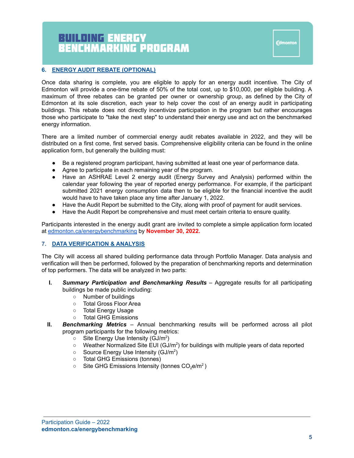#### **6. ENERGY AUDIT REBATE (OPTIONAL)**

Once data sharing is complete, you are eligible to apply for an energy audit incentive. The City of Edmonton will provide a one-time rebate of 50% of the total cost, up to \$10,000, per eligible building. A maximum of three rebates can be granted per owner or ownership group, as defined by the City of Edmonton at its sole discretion, each year to help cover the cost of an energy audit in participating buildings. This rebate does not directly incentivize participation in the program but rather encourages those who participate to "take the next step" to understand their energy use and act on the benchmarked energy information.

There are a limited number of commercial energy audit rebates available in 2022, and they will be distributed on a first come, first served basis. Comprehensive eligibility criteria can be found in the online application form, but generally the building must:

- Be a registered program participant, having submitted at least one year of performance data.
- Agree to participate in each remaining year of the program.
- Have an ASHRAE Level 2 energy audit (Energy Survey and Analysis) performed within the calendar year following the year of reported energy performance. For example, if the participant submitted 2021 energy consumption data then to be eligible for the financial incentive the audit would have to have taken place any time after January 1, 2022.
- Have the Audit Report be submitted to the City, along with proof of payment for audit services.
- Have the Audit Report be comprehensive and must meet certain criteria to ensure quality.

Participants interested in the energy audit grant are invited to complete a simple application form located at [edmonton.ca/energybenchmarking](http://edmonton.ca/energybenchmarking) by **November 30, 2022.**

#### **7. DATA VERIFICATION & ANALYSIS**

The City will access all shared building performance data through Portfolio Manager. Data analysis and verification will then be performed, followed by the preparation of benchmarking reports and determination of top performers. The data will be analyzed in two parts:

- **I.** *Summary Participation and Benchmarking Results* Aggregate results for all participating buildings be made public including:
	- Number of buildings
	- Total Gross Floor Area
	- Total Energy Usage
	- Total GHG Emissions
- **II.** *Benchmarking Metrics* Annual benchmarking results will be performed across all pilot program participants for the following metrics:
	- $\circ$  Site Energy Use Intensity (GJ/m<sup>2</sup>)
	- $\circ$  Weather Normalized Site EUI (GJ/m<sup>2</sup>) for buildings with multiple years of data reported
	- $\circ$  Source Energy Use Intensity (GJ/m<sup>2</sup>)
	- Total GHG Emissions (tonnes)
	- $\circ$  Site GHG Emissions Intensity (tonnes CO<sub>2</sub>e/m<sup>2</sup>)